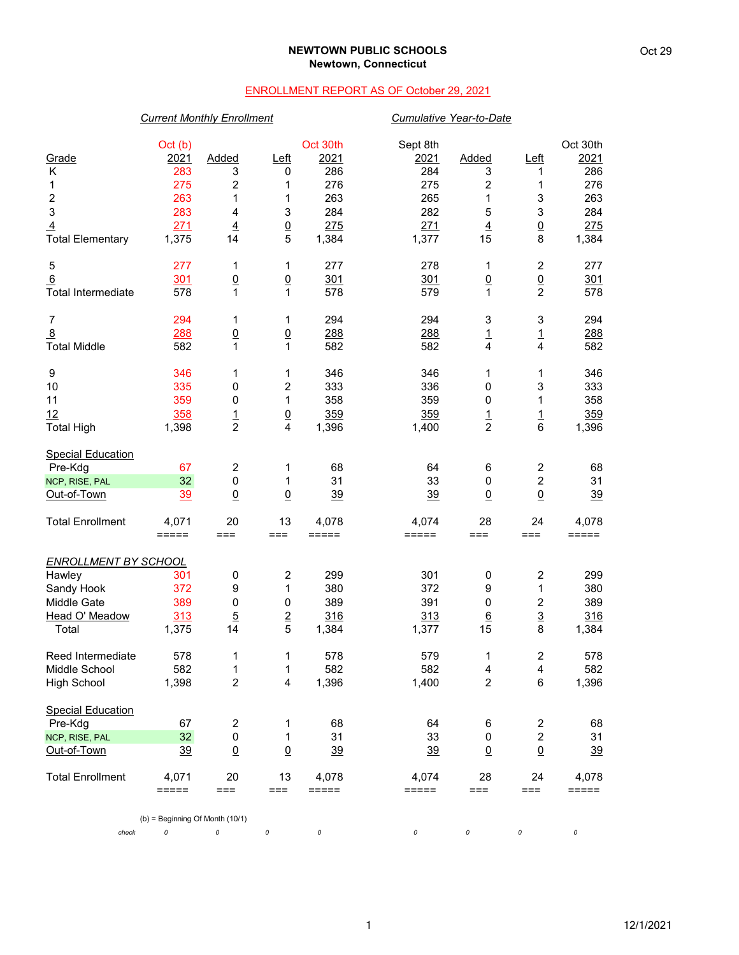### **NEWTOWN PUBLIC SCHOOLS Newtown, Connecticut**

## ENROLLMENT REPORT AS OF October 29, 2021

# *Current Monthly Enrollment Cumulative Year-to-Date*

| Grade                          | Oct (b)<br>2021                   | Added                   | Left                    | Oct 30th<br>2021 | Sept 8th<br>2021 | Added                | <u>Left</u>                       | Oct 30th<br>2021 |
|--------------------------------|-----------------------------------|-------------------------|-------------------------|------------------|------------------|----------------------|-----------------------------------|------------------|
| Κ                              | 283<br>275                        | 3                       | 0                       | 286<br>276       | 284<br>275       | 3<br>2               | 1                                 | 286<br>276       |
| 1<br>$\overline{\mathbf{c}}$   | 263                               | 2<br>1                  | 1<br>1                  | 263              | 265              | 1                    | 1<br>3                            | 263              |
| 3                              | 283                               | 4                       | 3                       | 284              | 282              | 5                    | 3                                 | 284              |
| $\overline{4}$                 | 271                               | $\overline{4}$          | $\overline{0}$          | 275              | 271              | $\overline{4}$       | $\underline{0}$                   | 275              |
| <b>Total Elementary</b>        | 1,375                             | 14                      | 5                       | 1,384            | 1,377            | 15                   | 8                                 | 1,384            |
| 5                              | 277                               | 1                       | 1                       | 277              | 278              | 1                    | $\overline{c}$                    | 277              |
| 6<br><b>Total Intermediate</b> | 301<br>578                        | $\underline{0}$<br>1    | $\underline{0}$<br>1    | 301<br>578       | 301<br>579       | $\underline{0}$<br>1 | $\underline{0}$<br>$\overline{2}$ | 301<br>578       |
|                                |                                   |                         |                         |                  |                  |                      |                                   |                  |
| $\overline{7}$                 | 294                               | 1                       | 1                       | 294              | 294              | 3                    | 3                                 | 294              |
| $\overline{8}$                 | 288                               | $\underline{0}$         | $\underline{0}$         | 288              | 288              | $\frac{1}{4}$        | $\frac{1}{4}$                     | 288              |
| <b>Total Middle</b>            | 582                               | $\mathbf{1}$            | 1                       | 582              | 582              |                      |                                   | 582              |
| 9                              | 346                               | 1                       | 1                       | 346              | 346              | 1                    | 1                                 | 346              |
| 10                             | 335                               | 0                       | $\boldsymbol{2}$        | 333              | 336              | 0                    | 3                                 | 333              |
| 11                             | 359                               | 0                       | 1                       | 358              | 359              | 0                    | 1                                 | 358              |
| 12                             | 358                               | $\overline{1}$          | $\underline{0}$         | 359              | 359              | $\overline{1}$       | $\overline{1}$                    | 359              |
| <b>Total High</b>              | 1,398                             | $\overline{2}$          | 4                       | 1,396            | 1,400            | $\overline{c}$       | 6                                 | 1,396            |
| <b>Special Education</b>       |                                   |                         |                         |                  |                  |                      |                                   |                  |
| Pre-Kdg                        | 67                                | $\overline{c}$          | 1                       | 68               | 64               | 6                    | $\overline{\mathbf{c}}$           | 68               |
| NCP, RISE, PAL                 | 32                                | $\pmb{0}$               | 1                       | 31               | 33               | $\pmb{0}$            | $\overline{c}$                    | 31               |
| Out-of-Town                    | 39                                | $\overline{0}$          | $\underline{0}$         | 39               | 39               | $\underline{0}$      | $\underline{0}$                   | 39               |
| <b>Total Enrollment</b>        | 4,071                             | 20                      | 13                      | 4,078            | 4,074            | 28                   | 24                                | 4,078            |
|                                | $=====$                           | $==$                    | ===                     | =====            | =====            | $==$                 | $==$                              | $=====$          |
| <b>ENROLLMENT BY SCHOOL</b>    |                                   |                         |                         |                  |                  |                      |                                   |                  |
| Hawley                         | 301                               | 0                       | $\overline{\mathbf{c}}$ | 299              | 301              | 0                    | 2                                 | 299              |
| Sandy Hook                     | 372                               | 9                       | 1                       | 380              | 372              | 9                    | 1                                 | 380              |
| Middle Gate                    | 389                               | 0                       | 0                       | 389              | 391              | 0                    | $\overline{c}$                    | 389              |
| Head O' Meadow                 | 313                               | $\overline{5}$          | $\overline{2}$          | 316              | 313              | $6\phantom{.}6$      | $\overline{3}$                    | 316              |
| Total                          | 1,375                             | 14                      | 5                       | 1,384            | 1,377            | 15                   | 8                                 | 1,384            |
| Reed Intermediate              | 578                               | 1                       | 1                       | 578              | 579              | 1                    | $\overline{\mathbf{c}}$           | 578              |
| Middle School                  | 582                               | 1                       | 1                       | 582              | 582              | 4                    | 4                                 | 582              |
| <b>High School</b>             | 1,398                             | $\overline{c}$          | 4                       | 1,396            | 1,400            | $\overline{c}$       | $\,6\,$                           | 1,396            |
| <b>Special Education</b>       |                                   |                         |                         |                  |                  |                      |                                   |                  |
| Pre-Kdg                        | 67                                | $\overline{\mathbf{c}}$ | 1                       | 68               | 64               | 6                    | $\overline{\mathbf{c}}$           | 68               |
| NCP, RISE, PAL                 | 32                                | 0                       | 1                       | 31               | 33               | 0                    | $\overline{c}$                    | 31               |
| Out-of-Town                    | 39                                | $\overline{0}$          | $\underline{0}$         | 39               | <u>39</u>        | $\underline{0}$      | $\underline{0}$                   | 39               |
| <b>Total Enrollment</b>        | 4,071                             | 20                      | 13                      | 4,078            | 4,074            | 28                   | 24                                | 4,078            |
|                                | $=====$                           | $==$                    | ===                     | =====            | =====            | $==$                 | $==$                              | $=====$          |
|                                | $(b)$ = Beginning Of Month (10/1) |                         |                         |                  |                  |                      |                                   |                  |
| check                          | 0                                 | 0                       | 0                       | 0                | 0                | 0                    | 0                                 | 0                |